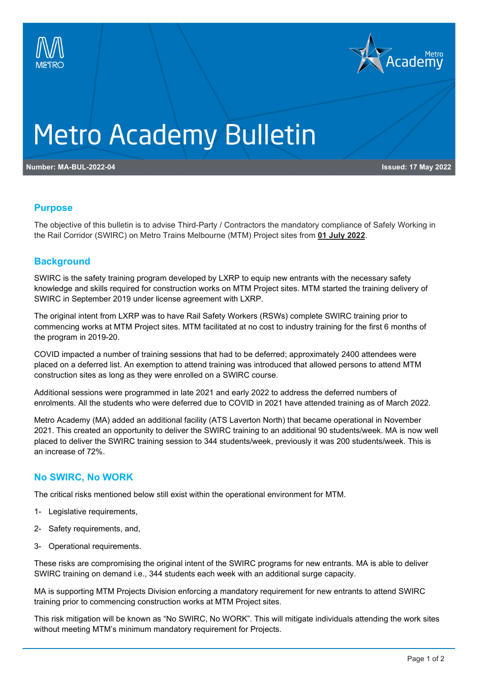



# **Metro Academy Bulletin**

**Number: MA-BUL-2022-04 Issued: 17 May 2022**

## **Purpose**

The objective of this bulletin is to advise Third-Party / Contractors the mandatory compliance of Safely Working in the Rail Corridor (SWIRC) on Metro Trains Melbourne (MTM) Project sites from **01 July 2022**.

## **Background**

SWIRC is the safety training program developed by LXRP to equip new entrants with the necessary safety knowledge and skills required for construction works on MTM Project sites. MTM started the training delivery of SWIRC in September 2019 under license agreement with LXRP.

The original intent from LXRP was to have Rail Safety Workers (RSWs) complete SWIRC training prior to commencing works at MTM Project sites. MTM facilitated at no cost to industry training for the first 6 months of the program in 2019-20.

COVID impacted a number of training sessions that had to be deferred; approximately 2400 attendees were placed on a deferred list. An exemption to attend training was introduced that allowed persons to attend MTM construction sites as long as they were enrolled on a SWIRC course.

Additional sessions were programmed in late 2021 and early 2022 to address the deferred numbers of enrolments. All the students who were deferred due to COVID in 2021 have attended training as of March 2022.

Metro Academy (MA) added an additional facility (ATS Laverton North) that became operational in November 2021. This created an opportunity to deliver the SWIRC training to an additional 90 students/week. MA is now well placed to deliver the SWIRC training session to 344 students/week, previously it was 200 students/week. This is an increase of 72%.

# **No SWIRC, No WORK**

The critical risks mentioned below still exist within the operational environment for MTM.

- 1- Legislative requirements,
- 2- Safety requirements, and,
- 3- Operational requirements.

These risks are compromising the original intent of the SWIRC programs for new entrants. MA is able to deliver SWIRC training on demand i.e., 344 students each week with an additional surge capacity.

MA is supporting MTM Projects Division enforcing a mandatory requirement for new entrants to attend SWIRC training prior to commencing construction works at MTM Project sites.

This risk mitigation will be known as "No SWIRC, No WORK". This will mitigate individuals attending the work sites without meeting MTM's minimum mandatory requirement for Projects.